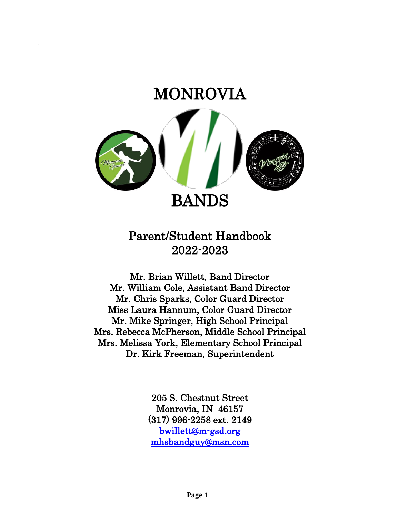

.

# Parent/Student Handbook 2022-2023

Mr. Brian Willett, Band Director Mr. William Cole, Assistant Band Director Mr. Chris Sparks, Color Guard Director Miss Laura Hannum, Color Guard Director Mr. Mike Springer, High School Principal Mrs. Rebecca McPherson, Middle School Principal Mrs. Melissa York, Elementary School Principal Dr. Kirk Freeman, Superintendent

> 205 S. Chestnut Street Monrovia, IN 46157 (317) 996-2258 ext. 2149 [bwillett@m-gsd.org](mailto:bwillett@m-gsd.org)  [mhsbandguy@msn.com](mailto:mhsbandguy@msn.com)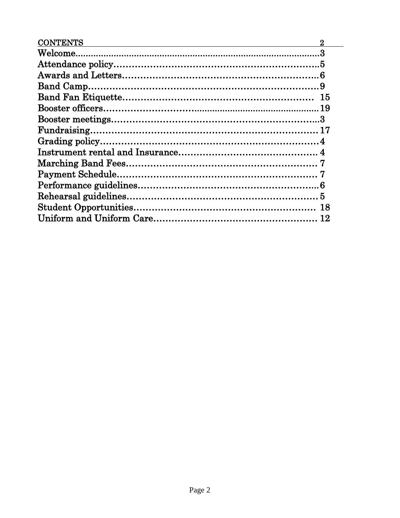| <b>CONTENTS</b> |  |
|-----------------|--|
|                 |  |
|                 |  |
|                 |  |
|                 |  |
|                 |  |
|                 |  |
|                 |  |
|                 |  |
|                 |  |
|                 |  |
|                 |  |
|                 |  |
|                 |  |
|                 |  |
|                 |  |
|                 |  |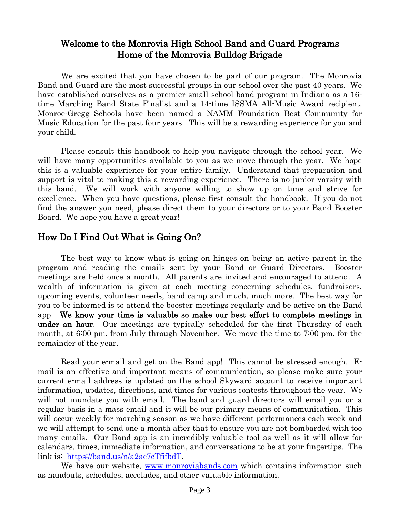# Welcome to the Monrovia High School Band and Guard Programs Home of the Monrovia Bulldog Brigade

We are excited that you have chosen to be part of our program. The Monrovia Band and Guard are the most successful groups in our school over the past 40 years. We have established ourselves as a premier small school band program in Indiana as a 16 time Marching Band State Finalist and a 14-time ISSMA All-Music Award recipient. Monroe-Gregg Schools have been named a NAMM Foundation Best Community for Music Education for the past four years. This will be a rewarding experience for you and your child.

Please consult this handbook to help you navigate through the school year. We will have many opportunities available to you as we move through the year. We hope this is a valuable experience for your entire family. Understand that preparation and support is vital to making this a rewarding experience. There is no junior varsity with this band. We will work with anyone willing to show up on time and strive for excellence. When you have questions, please first consult the handbook. If you do not find the answer you need, please direct them to your directors or to your Band Booster Board. We hope you have a great year!

# How Do I Find Out What is Going On?

The best way to know what is going on hinges on being an active parent in the program and reading the emails sent by your Band or Guard Directors. Booster meetings are held once a month. All parents are invited and encouraged to attend. A wealth of information is given at each meeting concerning schedules, fundraisers, upcoming events, volunteer needs, band camp and much, much more. The best way for you to be informed is to attend the booster meetings regularly and be active on the Band app. We know your time is valuable so make our best effort to complete meetings in under an hour. Our meetings are typically scheduled for the first Thursday of each month, at 6:00 pm. from July through November. We move the time to 7:00 pm. for the remainder of the year.

Read your e-mail and get on the Band app! This cannot be stressed enough. Email is an effective and important means of communication, so please make sure your current e-mail address is updated on the school Skyward account to receive important information, updates, directions, and times for various contests throughout the year. We will not inundate you with email. The band and guard directors will email you on a regular basis in a mass email and it will be our primary means of communication. This will occur weekly for marching season as we have different performances each week and we will attempt to send one a month after that to ensure you are not bombarded with too many emails. Our Band app is an incredibly valuable tool as well as it will allow for calendars, times, immediate information, and conversations to be at your fingertips. The link is: [https://band.us/n/a2ac7cTfifbdT.](https://band.us/n/a2ac7cTfifbdT)

We have our website, [www.monroviabands.com](http://www.monroviabands.com/) which contains information such as handouts, schedules, accolades, and other valuable information.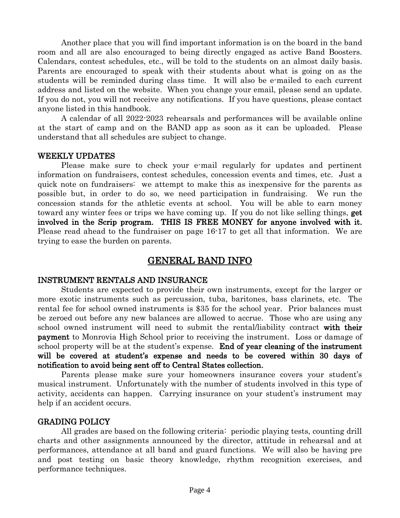Another place that you will find important information is on the board in the band room and all are also encouraged to being directly engaged as active Band Boosters. Calendars, contest schedules, etc., will be told to the students on an almost daily basis. Parents are encouraged to speak with their students about what is going on as the students will be reminded during class time. It will also be e-mailed to each current address and listed on the website. When you change your email, please send an update. If you do not, you will not receive any notifications. If you have questions, please contact anyone listed in this handbook.

A calendar of all 2022-2023 rehearsals and performances will be available online at the start of camp and on the BAND app as soon as it can be uploaded. Please understand that all schedules are subject to change.

#### WEEKLY UPDATES

Please make sure to check your e-mail regularly for updates and pertinent information on fundraisers, contest schedules, concession events and times, etc. Just a quick note on fundraisers: we attempt to make this as inexpensive for the parents as possible but, in order to do so, we need participation in fundraising. We run the concession stands for the athletic events at school. You will be able to earn money toward any winter fees or trips we have coming up. If you do not like selling things, get involved in the Scrip program. THIS IS FREE MONEY for anyone involved with it. Please read ahead to the fundraiser on page 16-17 to get all that information. We are trying to ease the burden on parents.

### GENERAL BAND INFO

#### INSTRUMENT RENTALS AND INSURANCE

Students are expected to provide their own instruments, except for the larger or more exotic instruments such as percussion, tuba, baritones, bass clarinets, etc. The rental fee for school owned instruments is \$35 for the school year. Prior balances must be zeroed out before any new balances are allowed to accrue. Those who are using any school owned instrument will need to submit the rental/liability contract with their payment to Monrovia High School prior to receiving the instrument. Loss or damage of school property will be at the student's expense. End of year cleaning of the instrument will be covered at student's expense and needs to be covered within 30 days of notification to avoid being sent off to Central States collection.

Parents please make sure your homeowners insurance covers your student's musical instrument. Unfortunately with the number of students involved in this type of activity, accidents can happen. Carrying insurance on your student's instrument may help if an accident occurs.

#### GRADING POLICY

All grades are based on the following criteria: periodic playing tests, counting drill charts and other assignments announced by the director, attitude in rehearsal and at performances, attendance at all band and guard functions. We will also be having pre and post testing on basic theory knowledge, rhythm recognition exercises, and performance techniques.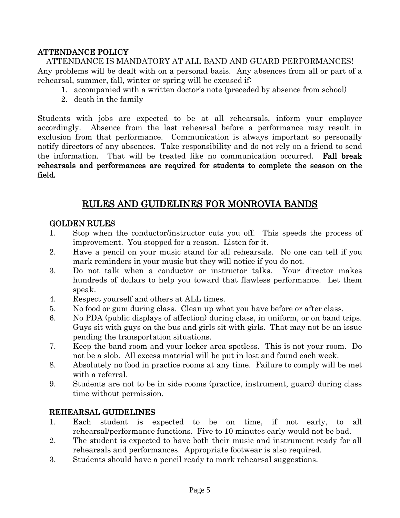### ATTENDANCE POLICY

ATTENDANCE IS MANDATORY AT ALL BAND AND GUARD PERFORMANCES! Any problems will be dealt with on a personal basis. Any absences from all or part of a rehearsal, summer, fall, winter or spring will be excused if:

- 1. accompanied with a written doctor's note (preceded by absence from school)
- 2. death in the family

Students with jobs are expected to be at all rehearsals, inform your employer accordingly. Absence from the last rehearsal before a performance may result in exclusion from that performance. Communication is always important so personally notify directors of any absences. Take responsibility and do not rely on a friend to send the information. That will be treated like no communication occurred. Fall break rehearsals and performances are required for students to complete the season on the field.

# RULES AND GUIDELINES FOR MONROVIA BANDS

### GOLDEN RULES

- 1. Stop when the conductor/instructor cuts you off. This speeds the process of improvement. You stopped for a reason. Listen for it.
- 2. Have a pencil on your music stand for all rehearsals. No one can tell if you mark reminders in your music but they will notice if you do not.
- 3. Do not talk when a conductor or instructor talks. Your director makes hundreds of dollars to help you toward that flawless performance. Let them speak.
- 4. Respect yourself and others at ALL times.
- 5. No food or gum during class. Clean up what you have before or after class.
- 6. No PDA (public displays of affection) during class, in uniform, or on band trips. Guys sit with guys on the bus and girls sit with girls. That may not be an issue pending the transportation situations.
- 7. Keep the band room and your locker area spotless. This is not your room. Do not be a slob. All excess material will be put in lost and found each week.
- 8. Absolutely no food in practice rooms at any time. Failure to comply will be met with a referral.
- 9. Students are not to be in side rooms (practice, instrument, guard) during class time without permission.

#### REHEARSAL GUIDELINES

- 1. Each student is expected to be on time, if not early, to all rehearsal/performance functions. Five to 10 minutes early would not be bad.
- 2. The student is expected to have both their music and instrument ready for all rehearsals and performances. Appropriate footwear is also required.
- 3. Students should have a pencil ready to mark rehearsal suggestions.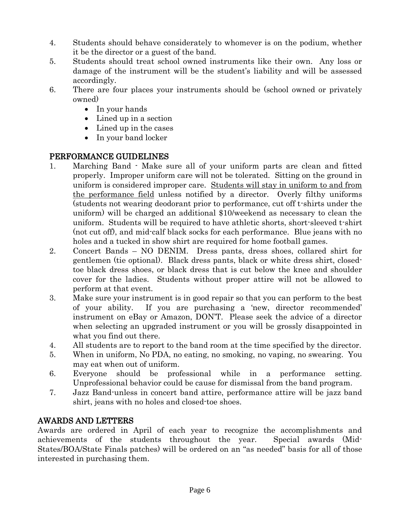- 4. Students should behave considerately to whomever is on the podium, whether it be the director or a guest of the band.
- 5. Students should treat school owned instruments like their own. Any loss or damage of the instrument will be the student's liability and will be assessed accordingly.
- 6. There are four places your instruments should be (school owned or privately owned)
	- In your hands
	- Lined up in a section
	- Lined up in the cases
	- In your band locker

# PERFORMANCE GUIDELINES

- 1. Marching Band Make sure all of your uniform parts are clean and fitted properly. Improper uniform care will not be tolerated. Sitting on the ground in uniform is considered improper care. Students will stay in uniform to and from the performance field unless notified by a director. Overly filthy uniforms (students not wearing deodorant prior to performance, cut off t-shirts under the uniform) will be charged an additional \$10/weekend as necessary to clean the uniform. Students will be required to have athletic shorts, short-sleeved t-shirt (not cut off), and mid-calf black socks for each performance. Blue jeans with no holes and a tucked in show shirt are required for home football games.
- 2. Concert Bands NO DENIM. Dress pants, dress shoes, collared shirt for gentlemen (tie optional). Black dress pants, black or white dress shirt, closedtoe black dress shoes, or black dress that is cut below the knee and shoulder cover for the ladies. Students without proper attire will not be allowed to perform at that event.
- 3. Make sure your instrument is in good repair so that you can perform to the best of your ability. If you are purchasing a 'new, director recommended' instrument on eBay or Amazon, DON'T. Please seek the advice of a director when selecting an upgraded instrument or you will be grossly disappointed in what you find out there.
- 4. All students are to report to the band room at the time specified by the director.
- 5. When in uniform, No PDA, no eating, no smoking, no vaping, no swearing. You may eat when out of uniform.
- 6. Everyone should be professional while in a performance setting. Unprofessional behavior could be cause for dismissal from the band program.
- 7. Jazz Band-unless in concert band attire, performance attire will be jazz band shirt, jeans with no holes and closed-toe shoes.

### AWARDS AND LETTERS

Awards are ordered in April of each year to recognize the accomplishments and achievements of the students throughout the year. Special awards (Mid-States/BOA/State Finals patches) will be ordered on an "as needed" basis for all of those interested in purchasing them.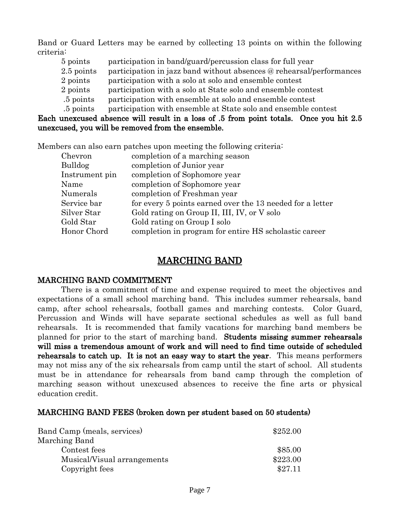Band or Guard Letters may be earned by collecting 13 points on within the following criteria:

- 5 points participation in band/guard/percussion class for full year
- 2.5 points participation in jazz band without absences @ rehearsal/performances
- 2 points participation with a solo at solo and ensemble contest
- 2 points participation with a solo at State solo and ensemble contest
- .5 points participation with ensemble at solo and ensemble contest
- .5 points participation with ensemble at State solo and ensemble contest

#### Each unexcused absence will result in a loss of .5 from point totals. Once you hit 2.5 unexcused, you will be removed from the ensemble.

Members can also earn patches upon meeting the following criteria:

| Chevron        | completion of a marching season                           |
|----------------|-----------------------------------------------------------|
| <b>Bulldog</b> | completion of Junior year                                 |
| Instrument pin | completion of Sophomore year                              |
| Name           | completion of Sophomore year                              |
| Numerals       | completion of Freshman year                               |
| Service bar    | for every 5 points earned over the 13 needed for a letter |
| Silver Star    | Gold rating on Group II, III, IV, or V solo               |
| Gold Star      | Gold rating on Group I solo                               |
| Honor Chord    | completion in program for entire HS scholastic career     |

## MARCHING BAND

#### MARCHING BAND COMMITMENT

There is a commitment of time and expense required to meet the objectives and expectations of a small school marching band. This includes summer rehearsals, band camp, after school rehearsals, football games and marching contests. Color Guard, Percussion and Winds will have separate sectional schedules as well as full band rehearsals. It is recommended that family vacations for marching band members be planned for prior to the start of marching band. Students missing summer rehearsals will miss a tremendous amount of work and will need to find time outside of scheduled rehearsals to catch up. It is not an easy way to start the year. This means performers may not miss any of the six rehearsals from camp until the start of school. All students must be in attendance for rehearsals from band camp through the completion of marching season without unexcused absences to receive the fine arts or physical education credit.

#### MARCHING BAND FEES (broken down per student based on 50 students)

| Band Camp (meals, services) | \$252.00 |
|-----------------------------|----------|
| Marching Band               |          |
| Contest fees                | \$85.00  |
| Musical/Visual arrangements | \$223.00 |
| Copyright fees              | \$27.11  |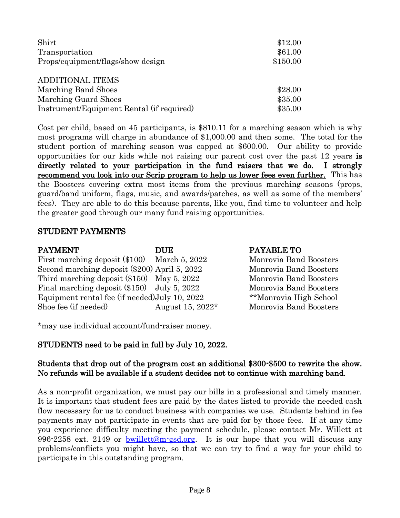| Shirt                                     | \$12.00  |
|-------------------------------------------|----------|
| Transportation                            | \$61.00  |
| Props/equipment/flags/show design         | \$150.00 |
| <b>ADDITIONAL ITEMS</b>                   |          |
| Marching Band Shoes                       | \$28.00  |
| Marching Guard Shoes                      | \$35.00  |
| Instrument/Equipment Rental (if required) | \$35.00  |

Cost per child, based on 45 participants, is \$810.11 for a marching season which is why most programs will charge in abundance of \$1,000.00 and then some. The total for the student portion of marching season was capped at \$600.00. Our ability to provide opportunities for our kids while not raising our parent cost over the past 12 years is directly related to your participation in the fund raisers that we do. I strongly recommend you look into our Scrip program to help us lower fees even further. This has the Boosters covering extra most items from the previous marching seasons (props, guard/band uniform, flags, music, and awards/patches, as well as some of the members' fees). They are able to do this because parents, like you, find time to volunteer and help the greater good through our many fund raising opportunities.

#### STUDENT PAYMENTS

| <b>PAYMENT</b>                                 | <b>DUE</b>       | PAYABLE TO             |
|------------------------------------------------|------------------|------------------------|
| First marching deposit $(\$100)$ March 5, 2022 |                  | Monrovia Band Boosters |
| Second marching deposit (\$200) April 5, 2022  |                  | Monrovia Band Boosters |
| Third marching deposit $(\$150)$ May 5, 2022   |                  | Monrovia Band Boosters |
| Final marching deposit $(\$150)$ July 5, 2022  |                  | Monrovia Band Boosters |
| Equipment rental fee (if needed) July 10, 2022 |                  | **Monrovia High School |
| Shoe fee (if needed)                           | August 15, 2022* | Monrovia Band Boosters |

\*may use individual account/fund-raiser money.

### STUDENTS need to be paid in full by July 10, 2022.

#### Students that drop out of the program cost an additional \$300-\$500 to rewrite the show. No refunds will be available if a student decides not to continue with marching band.

As a non-profit organization, we must pay our bills in a professional and timely manner. It is important that student fees are paid by the dates listed to provide the needed cash flow necessary for us to conduct business with companies we use. Students behind in fee payments may not participate in events that are paid for by those fees. If at any time you experience difficulty meeting the payment schedule, please contact Mr. Willett at 996-2258 ext. 2149 or [bwillett@m-gsd.org.](mailto:bwillett@m-gsd.org) It is our hope that you will discuss any problems/conflicts you might have, so that we can try to find a way for your child to participate in this outstanding program.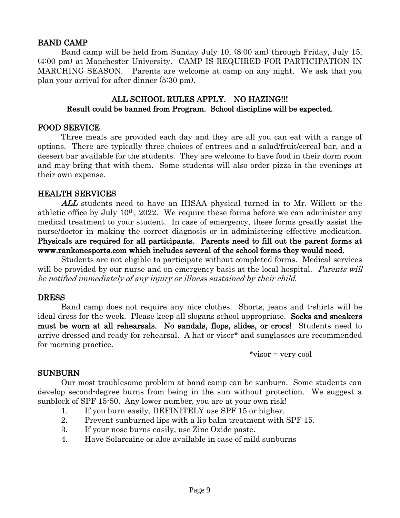#### BAND CAMP

Band camp will be held from Sunday July 10, (8:00 am) through Friday, July 15, (4:00 pm) at Manchester University. CAMP IS REQUIRED FOR PARTICIPATION IN MARCHING SEASON. Parents are welcome at camp on any night. We ask that you plan your arrival for after dinner (5:30 pm).

#### ALL SCHOOL RULES APPLY. NO HAZING!!! Result could be banned from Program. School discipline will be expected.

#### FOOD SERVICE

Three meals are provided each day and they are all you can eat with a range of options. There are typically three choices of entrees and a salad/fruit/cereal bar, and a dessert bar available for the students. They are welcome to have food in their dorm room and may bring that with them. Some students will also order pizza in the evenings at their own expense.

#### HEALTH SERVICES

ALL students need to have an IHSAA physical turned in to Mr. Willett or the athletic office by July  $10<sup>th</sup>$ ,  $2022$ . We require these forms before we can administer any medical treatment to your student. In case of emergency, these forms greatly assist the nurse/doctor in making the correct diagnosis or in administering effective medication. Physicals are required for all participants. Parents need to fill out the parent forms at www.rankonesports.com which includes several of the school forms they would need.

Students are not eligible to participate without completed forms. Medical services will be provided by our nurse and on emergency basis at the local hospital. *Parents will* be notified immediately of any injury or illness sustained by their child.

#### **DRESS**

Band camp does not require any nice clothes. Shorts, jeans and t-shirts will be ideal dress for the week. Please keep all slogans school appropriate. Socks and sneakers must be worn at all rehearsals. No sandals, flops, slides, or crocs! Students need to arrive dressed and ready for rehearsal. A hat or visor\* and sunglasses are recommended for morning practice.

\*visor = very cool

#### SUNBURN

Our most troublesome problem at band camp can be sunburn. Some students can develop second-degree burns from being in the sun without protection. We suggest a sunblock of SPF 15-50. Any lower number, you are at your own risk!

- 1. If you burn easily, DEFINITELY use SPF 15 or higher.
- 2. Prevent sunburned lips with a lip balm treatment with SPF 15.
- 3. If your nose burns easily, use Zinc Oxide paste.
- 4. Have Solarcaine or aloe available in case of mild sunburns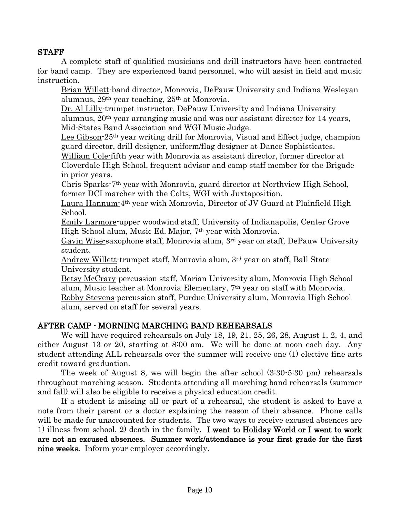#### STAFF

A complete staff of qualified musicians and drill instructors have been contracted for band camp. They are experienced band personnel, who will assist in field and music instruction.

Brian Willett-band director, Monrovia, DePauw University and Indiana Wesleyan alumnus, 29th year teaching, 25th at Monrovia.

Dr. Al Lilly-trumpet instructor, DePauw University and Indiana University alumnus, 20th year arranging music and was our assistant director for 14 years, Mid-States Band Association and WGI Music Judge.

Lee Gibson-25th year writing drill for Monrovia, Visual and Effect judge, champion guard director, drill designer, uniform/flag designer at Dance Sophisticates.

William Cole-fifth year with Monrovia as assistant director, former director at Cloverdale High School, frequent advisor and camp staff member for the Brigade in prior years.

Chris Sparks-7th year with Monrovia, guard director at Northview High School, former DCI marcher with the Colts, WGI with Juxtaposition.

Laura Hannum-4th year with Monrovia, Director of JV Guard at Plainfield High School.

Emily Larmore-upper woodwind staff, University of Indianapolis, Center Grove High School alum, Music Ed. Major, 7th year with Monrovia.

Gavin Wise-saxophone staff, Monrovia alum, 3rd year on staff, DePauw University student.

Andrew Willett-trumpet staff, Monrovia alum, 3rd year on staff, Ball State University student.

Betsy McCrary-percussion staff, Marian University alum, Monrovia High School alum, Music teacher at Monrovia Elementary, 7th year on staff with Monrovia. Robby Stevens-percussion staff, Purdue University alum, Monrovia High School alum, served on staff for several years.

#### AFTER CAMP - MORNING MARCHING BAND REHEARSALS

We will have required rehearsals on July 18, 19, 21, 25, 26, 28, August 1, 2, 4, and either August 13 or 20, starting at 8:00 am. We will be done at noon each day. Any student attending ALL rehearsals over the summer will receive one (1) elective fine arts credit toward graduation.

The week of August 8, we will begin the after school (3:30-5:30 pm) rehearsals throughout marching season. Students attending all marching band rehearsals (summer and fall) will also be eligible to receive a physical education credit.

If a student is missing all or part of a rehearsal, the student is asked to have a note from their parent or a doctor explaining the reason of their absence. Phone calls will be made for unaccounted for students. The two ways to receive excused absences are 1) illness from school, 2) death in the family. I went to Holiday World or I went to work are not an excused absences. Summer work/attendance is your first grade for the first nine weeks. Inform your employer accordingly.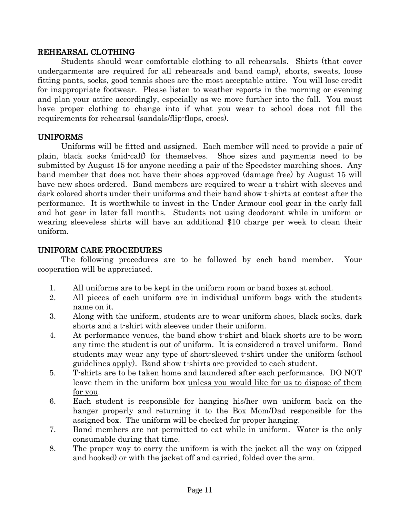#### REHEARSAL CLOTHING

Students should wear comfortable clothing to all rehearsals. Shirts (that cover undergarments are required for all rehearsals and band camp), shorts, sweats, loose fitting pants, socks, good tennis shoes are the most acceptable attire. You will lose credit for inappropriate footwear. Please listen to weather reports in the morning or evening and plan your attire accordingly, especially as we move further into the fall. You must have proper clothing to change into if what you wear to school does not fill the requirements for rehearsal (sandals/flip-flops, crocs).

#### UNIFORMS

Uniforms will be fitted and assigned. Each member will need to provide a pair of plain, black socks (mid-calf) for themselves. Shoe sizes and payments need to be submitted by August 15 for anyone needing a pair of the Speedster marching shoes. Any band member that does not have their shoes approved (damage free) by August 15 will have new shoes ordered. Band members are required to wear a t-shirt with sleeves and dark colored shorts under their uniforms and their band show t-shirts at contest after the performance. It is worthwhile to invest in the Under Armour cool gear in the early fall and hot gear in later fall months. Students not using deodorant while in uniform or wearing sleeveless shirts will have an additional \$10 charge per week to clean their uniform.

#### UNIFORM CARE PROCEDURES

The following procedures are to be followed by each band member. Your cooperation will be appreciated.

- 1. All uniforms are to be kept in the uniform room or band boxes at school.
- 2. All pieces of each uniform are in individual uniform bags with the students name on it.
- 3. Along with the uniform, students are to wear uniform shoes, black socks, dark shorts and a t-shirt with sleeves under their uniform.
- 4. At performance venues, the band show t-shirt and black shorts are to be worn any time the student is out of uniform. It is considered a travel uniform. Band students may wear any type of short-sleeved t-shirt under the uniform (school guidelines apply). Band show t-shirts are provided to each student.
- 5. T-shirts are to be taken home and laundered after each performance. DO NOT leave them in the uniform box unless you would like for us to dispose of them for you.
- 6. Each student is responsible for hanging his/her own uniform back on the hanger properly and returning it to the Box Mom/Dad responsible for the assigned box. The uniform will be checked for proper hanging.
- 7. Band members are not permitted to eat while in uniform. Water is the only consumable during that time.
- 8. The proper way to carry the uniform is with the jacket all the way on (zipped and hooked) or with the jacket off and carried, folded over the arm.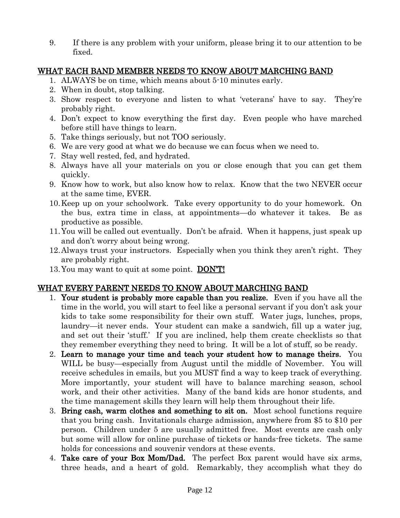9. If there is any problem with your uniform, please bring it to our attention to be fixed.

### WHAT EACH BAND MEMBER NEEDS TO KNOW ABOUT MARCHING BAND

- 1. ALWAYS be on time, which means about 5-10 minutes early.
- 2. When in doubt, stop talking.
- 3. Show respect to everyone and listen to what 'veterans' have to say. They're probably right.
- 4. Don't expect to know everything the first day. Even people who have marched before still have things to learn.
- 5. Take things seriously, but not TOO seriously.
- 6. We are very good at what we do because we can focus when we need to.
- 7. Stay well rested, fed, and hydrated.
- 8. Always have all your materials on you or close enough that you can get them quickly.
- 9. Know how to work, but also know how to relax. Know that the two NEVER occur at the same time, EVER.
- 10.Keep up on your schoolwork. Take every opportunity to do your homework. On the bus, extra time in class, at appointments—do whatever it takes. Be as productive as possible.
- 11.You will be called out eventually. Don't be afraid. When it happens, just speak up and don't worry about being wrong.
- 12.Always trust your instructors. Especially when you think they aren't right. They are probably right.
- 13. You may want to quit at some point. **DON'T!**

### WHAT EVERY PARENT NEEDS TO KNOW ABOUT MARCHING BAND

- 1. Your student is probably more capable than you realize. Even if you have all the time in the world, you will start to feel like a personal servant if you don't ask your kids to take some responsibility for their own stuff. Water jugs, lunches, props, laundry—it never ends. Your student can make a sandwich, fill up a water jug, and set out their 'stuff.' If you are inclined, help them create checklists so that they remember everything they need to bring. It will be a lot of stuff, so be ready.
- 2. Learn to manage your time and teach your student how to manage theirs. You WILL be busy—especially from August until the middle of November. You will receive schedules in emails, but you MUST find a way to keep track of everything. More importantly, your student will have to balance marching season, school work, and their other activities. Many of the band kids are honor students, and the time management skills they learn will help them throughout their life.
- 3. Bring cash, warm clothes and something to sit on. Most school functions require that you bring cash. Invitationals charge admission, anywhere from \$5 to \$10 per person. Children under 5 are usually admitted free. Most events are cash only but some will allow for online purchase of tickets or hands-free tickets. The same holds for concessions and souvenir vendors at these events.
- 4. Take care of your Box Mom/Dad. The perfect Box parent would have six arms, three heads, and a heart of gold. Remarkably, they accomplish what they do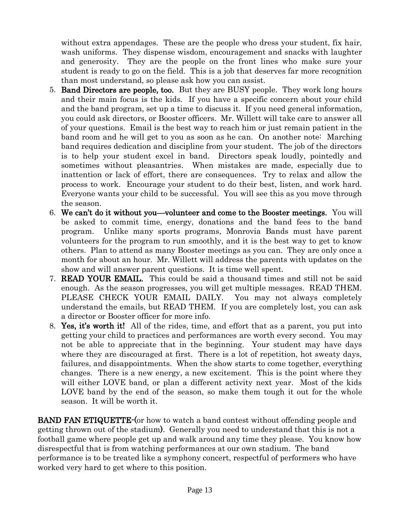without extra appendages. These are the people who dress your student, fix hair, wash uniforms. They dispense wisdom, encouragement and snacks with laughter and generosity. They are the people on the front lines who make sure your student is ready to go on the field. This is a job that deserves far more recognition than most understand, so please ask how you can assist.

- 5. Band Directors are people, too. But they are BUSY people. They work long hours and their main focus is the kids. If you have a specific concern about your child and the band program, set up a time to discuss it. If you need general information, you could ask directors, or Booster officers. Mr. Willett will take care to answer all of your questions. Email is the best way to reach him or just remain patient in the band room and he will get to you as soon as he can. On another note: Marching band requires dedication and discipline from your student. The job of the directors is to help your student excel in band. Directors speak loudly, pointedly and sometimes without pleasantries. When mistakes are made, especially due to inattention or lack of effort, there are consequences. Try to relax and allow the process to work. Encourage your student to do their best, listen, and work hard. Everyone wants your child to be successful. You will see this as you move through the season.
- 6. We can't do it without you—volunteer and come to the Booster meetings. You will be asked to commit time, energy, donations and the band fees to the band program. Unlike many sports programs, Monrovia Bands must have parent volunteers for the program to run smoothly, and it is the best way to get to know others. Plan to attend as many Booster meetings as you can. They are only once a month for about an hour. Mr. Willett will address the parents with updates on the show and will answer parent questions. It is time well spent.
- 7. READ YOUR EMAIL. This could be said a thousand times and still not be said enough. As the season progresses, you will get multiple messages. READ THEM. PLEASE CHECK YOUR EMAIL DAILY. You may not always completely understand the emails, but READ THEM. If you are completely lost, you can ask a director or Booster officer for more info.
- 8. Yes, it's worth it! All of the rides, time, and effort that as a parent, you put into getting your child to practices and performances are worth every second. You may not be able to appreciate that in the beginning. Your student may have days where they are discouraged at first. There is a lot of repetition, hot sweaty days, failures, and disappointments. When the show starts to come together, everything changes. There is a new energy, a new excitement. This is the point where they will either LOVE band, or plan a different activity next year. Most of the kids LOVE band by the end of the season, so make them tough it out for the whole season. It will be worth it.

**BAND FAN ETIQUETTE-** (or how to watch a band contest without offending people and getting thrown out of the stadium). Generally you need to understand that this is not a football game where people get up and walk around any time they please. You know how disrespectful that is from watching performances at our own stadium. The band performance is to be treated like a symphony concert, respectful of performers who have worked very hard to get where to this position.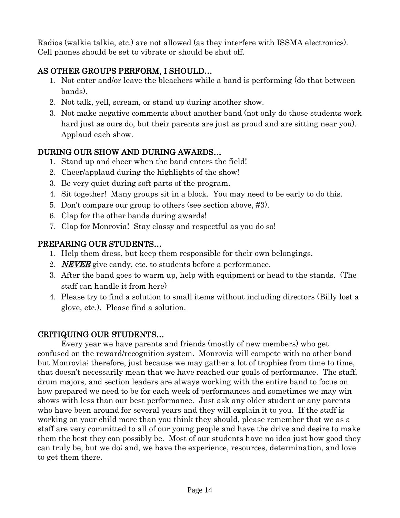Radios (walkie talkie, etc.) are not allowed (as they interfere with ISSMA electronics). Cell phones should be set to vibrate or should be shut off.

# AS OTHER GROUPS PERFORM, I SHOULD…

- 1. Not enter and/or leave the bleachers while a band is performing (do that between bands).
- 2. Not talk, yell, scream, or stand up during another show.
- 3. Not make negative comments about another band (not only do those students work hard just as ours do, but their parents are just as proud and are sitting near you). Applaud each show.

# DURING OUR SHOW AND DURING AWARDS…

- 1. Stand up and cheer when the band enters the field!
- 2. Cheer/applaud during the highlights of the show!
- 3. Be very quiet during soft parts of the program.
- 4. Sit together! Many groups sit in a block. You may need to be early to do this.
- 5. Don't compare our group to others (see section above, #3).
- 6. Clap for the other bands during awards!
- 7. Clap for Monrovia! Stay classy and respectful as you do so!

# PREPARING OUR STUDENTS…

- 1. Help them dress, but keep them responsible for their own belongings.
- 2. **NEVER** give candy, etc. to students before a performance.
- 3. After the band goes to warm up, help with equipment or head to the stands. (The staff can handle it from here)
- 4. Please try to find a solution to small items without including directors (Billy lost a glove, etc.). Please find a solution.

# CRITIQUING OUR STUDENTS…

Every year we have parents and friends (mostly of new members) who get confused on the reward/recognition system. Monrovia will compete with no other band but Monrovia; therefore, just because we may gather a lot of trophies from time to time, that doesn't necessarily mean that we have reached our goals of performance. The staff, drum majors, and section leaders are always working with the entire band to focus on how prepared we need to be for each week of performances and sometimes we may win shows with less than our best performance. Just ask any older student or any parents who have been around for several years and they will explain it to you. If the staff is working on your child more than you think they should, please remember that we as a staff are very committed to all of our young people and have the drive and desire to make them the best they can possibly be. Most of our students have no idea just how good they can truly be, but we do; and, we have the experience, resources, determination, and love to get them there.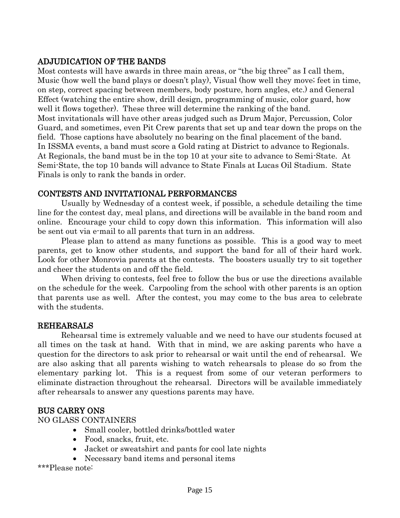### ADJUDICATION OF THE BANDS

Most contests will have awards in three main areas, or "the big three" as I call them, Music (how well the band plays or doesn't play), Visual (how well they move; feet in time, on step, correct spacing between members, body posture, horn angles, etc.) and General Effect (watching the entire show, drill design, programming of music, color guard, how well it flows together). These three will determine the ranking of the band. Most invitationals will have other areas judged such as Drum Major, Percussion, Color Guard, and sometimes, even Pit Crew parents that set up and tear down the props on the field. Those captions have absolutely no bearing on the final placement of the band. In ISSMA events, a band must score a Gold rating at District to advance to Regionals. At Regionals, the band must be in the top 10 at your site to advance to Semi-State. At Semi-State, the top 10 bands will advance to State Finals at Lucas Oil Stadium. State Finals is only to rank the bands in order.

#### CONTESTS AND INVITATIONAL PERFORMANCES

Usually by Wednesday of a contest week, if possible, a schedule detailing the time line for the contest day, meal plans, and directions will be available in the band room and online. Encourage your child to copy down this information. This information will also be sent out via e-mail to all parents that turn in an address.

Please plan to attend as many functions as possible. This is a good way to meet parents, get to know other students, and support the band for all of their hard work. Look for other Monrovia parents at the contests. The boosters usually try to sit together and cheer the students on and off the field.

When driving to contests, feel free to follow the bus or use the directions available on the schedule for the week. Carpooling from the school with other parents is an option that parents use as well. After the contest, you may come to the bus area to celebrate with the students.

#### REHEARSALS

Rehearsal time is extremely valuable and we need to have our students focused at all times on the task at hand. With that in mind, we are asking parents who have a question for the directors to ask prior to rehearsal or wait until the end of rehearsal. We are also asking that all parents wishing to watch rehearsals to please do so from the elementary parking lot. This is a request from some of our veteran performers to eliminate distraction throughout the rehearsal. Directors will be available immediately after rehearsals to answer any questions parents may have.

#### BUS CARRY ONS

NO GLASS CONTAINERS

- Small cooler, bottled drinks/bottled water
- Food, snacks, fruit, etc.
- Jacket or sweatshirt and pants for cool late nights
- Necessary band items and personal items

\*\*\*Please note: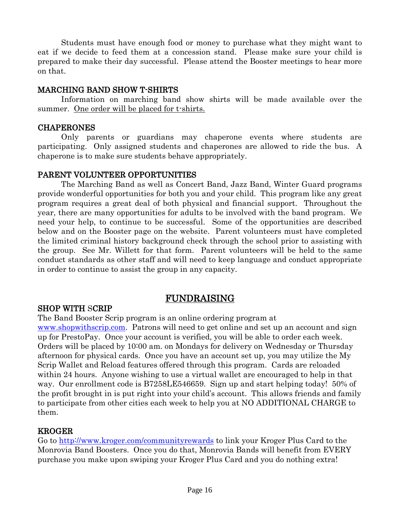Students must have enough food or money to purchase what they might want to eat if we decide to feed them at a concession stand. Please make sure your child is prepared to make their day successful. Please attend the Booster meetings to hear more on that.

#### MARCHING BAND SHOW T-SHIRTS

Information on marching band show shirts will be made available over the summer. One order will be placed for t-shirts.

#### CHAPERONES

Only parents or guardians may chaperone events where students are participating. Only assigned students and chaperones are allowed to ride the bus. A chaperone is to make sure students behave appropriately.

#### PARENT VOLUNTEER OPPORTUNITIES

The Marching Band as well as Concert Band, Jazz Band, Winter Guard programs provide wonderful opportunities for both you and your child. This program like any great program requires a great deal of both physical and financial support. Throughout the year, there are many opportunities for adults to be involved with the band program. We need your help, to continue to be successful. Some of the opportunities are described below and on the Booster page on the website. Parent volunteers must have completed the limited criminal history background check through the school prior to assisting with the group. See Mr. Willett for that form. Parent volunteers will be held to the same conduct standards as other staff and will need to keep language and conduct appropriate in order to continue to assist the group in any capacity.

# FUNDRAISING

#### SHOP WITH SCRIP

The Band Booster Scrip program is an online ordering program at [www.shopwithscrip.com.](http://www.shopwithscrip.com/) Patrons will need to get online and set up an account and sign up for PrestoPay. Once your account is verified, you will be able to order each week. Orders will be placed by 10:00 am. on Mondays for delivery on Wednesday or Thursday afternoon for physical cards. Once you have an account set up, you may utilize the My Scrip Wallet and Reload features offered through this program. Cards are reloaded within 24 hours. Anyone wishing to use a virtual wallet are encouraged to help in that way. Our enrollment code is B7258LE546659. Sign up and start helping today! 50% of the profit brought in is put right into your child's account. This allows friends and family to participate from other cities each week to help you at NO ADDITIONAL CHARGE to them.

#### KROGER

Go to<http://www.kroger.com/communityrewards> to link your Kroger Plus Card to the Monrovia Band Boosters. Once you do that, Monrovia Bands will benefit from EVERY purchase you make upon swiping your Kroger Plus Card and you do nothing extra!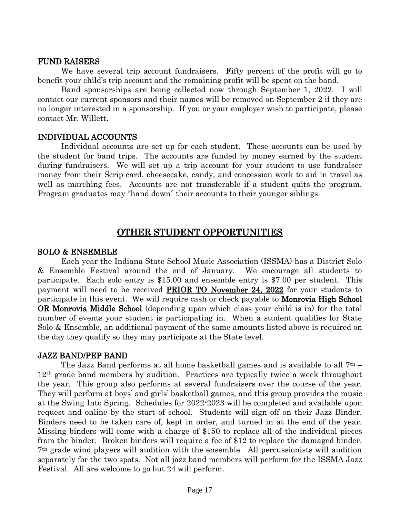#### FUND RAISERS

We have several trip account fundraisers. Fifty percent of the profit will go to benefit your child's trip account and the remaining profit will be spent on the band.

Band sponsorships are being collected now through September 1, 2022. I will contact our current sponsors and their names will be removed on September 2 if they are no longer interested in a sponsorship. If you or your employer wish to participate, please contact Mr. Willett.

#### INDIVIDUAL ACCOUNTS

Individual accounts are set up for each student. These accounts can be used by the student for band trips. The accounts are funded by money earned by the student during fundraisers. We will set up a trip account for your student to use fundraiser money from their Scrip card, cheesecake, candy, and concession work to aid in travel as well as marching fees. Accounts are not transferable if a student quits the program. Program graduates may "hand down" their accounts to their younger siblings.

### OTHER STUDENT OPPORTUNITIES

#### SOLO & ENSEMBLE

Each year the Indiana State School Music Association (ISSMA) has a District Solo & Ensemble Festival around the end of January. We encourage all students to participate. Each solo entry is \$15.00 and ensemble entry is \$7.00 per student. This payment will need to be received PRIOR TO November 24, 2022 for your students to participate in this event. We will require cash or check payable to **Monrovia High School** OR Monrovia Middle School (depending upon which class your child is in) for the total number of events your student is participating in. When a student qualifies for State Solo & Ensemble, an additional payment of the same amounts listed above is required on the day they qualify so they may participate at the State level.

#### JAZZ BAND/PEP BAND

The Jazz Band performs at all home basketball games and is available to all  $7<sup>th</sup>$  – 12th grade band members by audition. Practices are typically twice a week throughout the year. This group also performs at several fundraisers over the course of the year. They will perform at boys' and girls' basketball games, and this group provides the music at the Swing Into Spring. Schedules for 2022-2023 will be completed and available upon request and online by the start of school. Students will sign off on their Jazz Binder. Binders need to be taken care of, kept in order, and turned in at the end of the year. Missing binders will come with a charge of \$150 to replace all of the individual pieces from the binder. Broken binders will require a fee of \$12 to replace the damaged binder. 7th grade wind players will audition with the ensemble. All percussionists will audition separately for the two spots. Not all jazz band members will perform for the ISSMA Jazz Festival. All are welcome to go but 24 will perform.